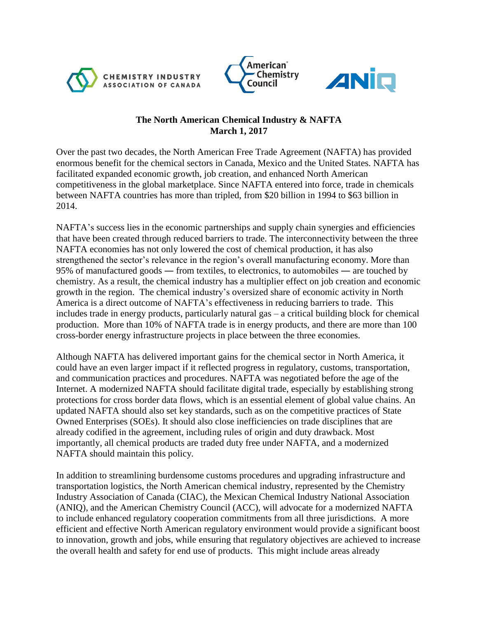





## **The North American Chemical Industry & NAFTA March 1, 2017**

Over the past two decades, the North American Free Trade Agreement (NAFTA) has provided enormous benefit for the chemical sectors in Canada, Mexico and the United States. NAFTA has facilitated expanded economic growth, job creation, and enhanced North American competitiveness in the global marketplace. Since NAFTA entered into force, trade in chemicals between NAFTA countries has more than tripled, from \$20 billion in 1994 to \$63 billion in 2014.

NAFTA's success lies in the economic partnerships and supply chain synergies and efficiencies that have been created through reduced barriers to trade. The interconnectivity between the three NAFTA economies has not only lowered the cost of chemical production, it has also strengthened the sector's relevance in the region's overall manufacturing economy. More than 95% of manufactured goods ― from textiles, to electronics, to automobiles ― are touched by chemistry. As a result, the chemical industry has a multiplier effect on job creation and economic growth in the region. The chemical industry's oversized share of economic activity in North America is a direct outcome of NAFTA's effectiveness in reducing barriers to trade. This includes trade in energy products, particularly natural gas – a critical building block for chemical production. More than 10% of NAFTA trade is in energy products, and there are more than 100 cross-border energy infrastructure projects in place between the three economies.

Although NAFTA has delivered important gains for the chemical sector in North America, it could have an even larger impact if it reflected progress in regulatory, customs, transportation, and communication practices and procedures. NAFTA was negotiated before the age of the Internet. A modernized NAFTA should facilitate digital trade, especially by establishing strong protections for cross border data flows, which is an essential element of global value chains. An updated NAFTA should also set key standards, such as on the competitive practices of State Owned Enterprises (SOEs). It should also close inefficiencies on trade disciplines that are already codified in the agreement, including rules of origin and duty drawback. Most importantly, all chemical products are traded duty free under NAFTA, and a modernized NAFTA should maintain this policy.

In addition to streamlining burdensome customs procedures and upgrading infrastructure and transportation logistics, the North American chemical industry, represented by the Chemistry Industry Association of Canada (CIAC), the Mexican Chemical Industry National Association (ANIQ), and the American Chemistry Council (ACC), will advocate for a modernized NAFTA to include enhanced regulatory cooperation commitments from all three jurisdictions. A more efficient and effective North American regulatory environment would provide a significant boost to innovation, growth and jobs, while ensuring that regulatory objectives are achieved to increase the overall health and safety for end use of products. This might include areas already